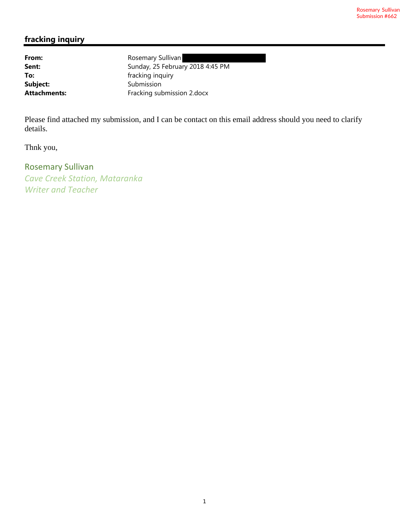# **fracking inquiry**

Subject: Submission

**From:** Rosemary Sullivan Sent: Sunday, 25 February 2018 4:45 PM **To:** fracking inquiry Attachments: Fracking submission 2.docx

Please find attached my submission, and I can be contact on this email address should you need to clarify details.

Thnk you,

Rosemary Sullivan *Cave Creek Station, Mataranka Writer and Teacher*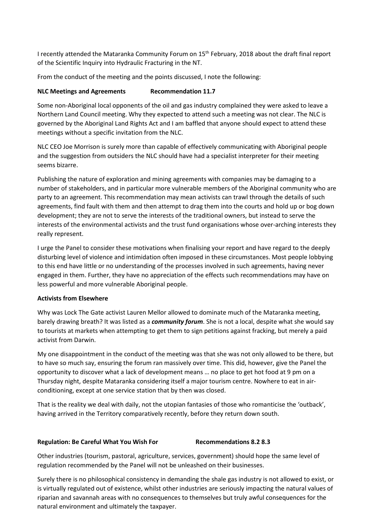I recently attended the Mataranka Community Forum on 15<sup>th</sup> February, 2018 about the draft final report of the Scientific Inquiry into Hydraulic Fracturing in the NT.

From the conduct of the meeting and the points discussed, I note the following:

#### **NLC Meetings and Agreements Recommendation 11.7**

Some non-Aboriginal local opponents of the oil and gas industry complained they were asked to leave a Northern Land Council meeting. Why they expected to attend such a meeting was not clear. The NLC is governed by the Aboriginal Land Rights Act and I am baffled that anyone should expect to attend these meetings without a specific invitation from the NLC.

NLC CEO Joe Morrison is surely more than capable of effectively communicating with Aboriginal people and the suggestion from outsiders the NLC should have had a specialist interpreter for their meeting seems bizarre.

Publishing the nature of exploration and mining agreements with companies may be damaging to a number of stakeholders, and in particular more vulnerable members of the Aboriginal community who are party to an agreement. This recommendation may mean activists can trawl through the details of such agreements, find fault with them and then attempt to drag them into the courts and hold up or bog down development; they are not to serve the interests of the traditional owners, but instead to serve the interests of the environmental activists and the trust fund organisations whose over-arching interests they really represent.

I urge the Panel to consider these motivations when finalising your report and have regard to the deeply disturbing level of violence and intimidation often imposed in these circumstances. Most people lobbying to this end have little or no understanding of the processes involved in such agreements, having never engaged in them. Further, they have no appreciation of the effects such recommendations may have on less powerful and more vulnerable Aboriginal people.

#### **Activists from Elsewhere**

Why was Lock The Gate activist Lauren Mellor allowed to dominate much of the Mataranka meeting, barely drawing breath? It was listed as a *community forum*. She is not a local, despite what she would say to tourists at markets when attempting to get them to sign petitions against fracking, but merely a paid activist from Darwin.

My one disappointment in the conduct of the meeting was that she was not only allowed to be there, but to have so much say, ensuring the forum ran massively over time. This did, however, give the Panel the opportunity to discover what a lack of development means … no place to get hot food at 9 pm on a Thursday night, despite Mataranka considering itself a major tourism centre. Nowhere to eat in airconditioning, except at one service station that by then was closed.

That is the reality we deal with daily, not the utopian fantasies of those who romanticise the 'outback', having arrived in the Territory comparatively recently, before they return down south.

#### **Regulation: Be Careful What You Wish For Recommendations 8.2 8.3**

Other industries (tourism, pastoral, agriculture, services, government) should hope the same level of regulation recommended by the Panel will not be unleashed on their businesses.

Surely there is no philosophical consistency in demanding the shale gas industry is not allowed to exist, or is virtually regulated out of existence, whilst other industries are seriously impacting the natural values of riparian and savannah areas with no consequences to themselves but truly awful consequences for the natural environment and ultimately the taxpayer.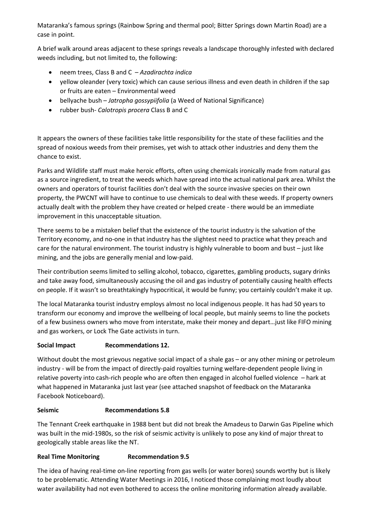Mataranka's famous springs (Rainbow Spring and thermal pool; Bitter Springs down Martin Road) are a case in point.

A brief walk around areas adjacent to these springs reveals a landscape thoroughly infested with declared weeds including, but not limited to, the following:

- neem trees, Class B and C *Azadirachta indica*
- yellow oleander (very toxic) which can cause serious illness and even death in children if the sap or fruits are eaten – Environmental weed
- bellyache bush *Jatropha gossypiifolia* (a Weed of National Significance)
- rubber bush- *Calotropis procera* Class B and C

It appears the owners of these facilities take little responsibility for the state of these facilities and the spread of noxious weeds from their premises, yet wish to attack other industries and deny them the chance to exist.

Parks and Wildlife staff must make heroic efforts, often using chemicals ironically made from natural gas as a source ingredient, to treat the weeds which have spread into the actual national park area. Whilst the owners and operators of tourist facilities don't deal with the source invasive species on their own property, the PWCNT will have to continue to use chemicals to deal with these weeds. If property owners actually dealt with the problem they have created or helped create - there would be an immediate improvement in this unacceptable situation.

There seems to be a mistaken belief that the existence of the tourist industry is the salvation of the Territory economy, and no-one in that industry has the slightest need to practice what they preach and care for the natural environment. The tourist industry is highly vulnerable to boom and bust – just like mining, and the jobs are generally menial and low-paid.

Their contribution seems limited to selling alcohol, tobacco, cigarettes, gambling products, sugary drinks and take away food, simultaneously accusing the oil and gas industry of potentially causing health effects on people. If it wasn't so breathtakingly hypocritical, it would be funny; you certainly couldn't make it up.

The local Mataranka tourist industry employs almost no local indigenous people. It has had 50 years to transform our economy and improve the wellbeing of local people, but mainly seems to line the pockets of a few business owners who move from interstate, make their money and depart…just like FIFO mining and gas workers, or Lock The Gate activists in turn.

## **Social Impact Recommendations 12.**

Without doubt the most grievous negative social impact of a shale gas – or any other mining or petroleum industry - will be from the impact of directly-paid royalties turning welfare-dependent people living in relative poverty into cash-rich people who are often then engaged in alcohol fuelled violence – hark at what happened in Mataranka just last year (see attached snapshot of feedback on the Mataranka Facebook Noticeboard).

## **Seismic Recommendations 5.8**

The Tennant Creek earthquake in 1988 bent but did not break the Amadeus to Darwin Gas Pipeline which was built in the mid-1980s, so the risk of seismic activity is unlikely to pose any kind of major threat to geologically stable areas like the NT.

## **Real Time Monitoring Recommendation 9.5**

The idea of having real-time on-line reporting from gas wells (or water bores) sounds worthy but is likely to be problematic. Attending Water Meetings in 2016, I noticed those complaining most loudly about water availability had not even bothered to access the online monitoring information already available.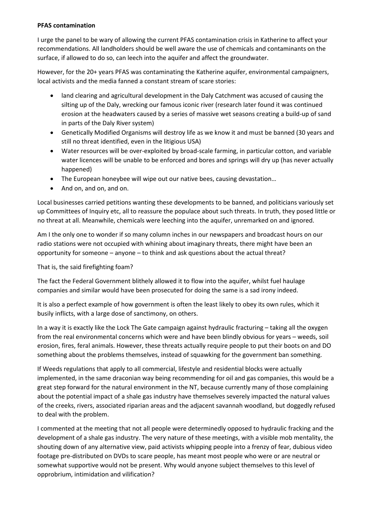### **PFAS contamination**

I urge the panel to be wary of allowing the current PFAS contamination crisis in Katherine to affect your recommendations. All landholders should be well aware the use of chemicals and contaminants on the surface, if allowed to do so, can leech into the aquifer and affect the groundwater.

However, for the 20+ years PFAS was contaminating the Katherine aquifer, environmental campaigners, local activists and the media fanned a constant stream of scare stories:

- land clearing and agricultural development in the Daly Catchment was accused of causing the silting up of the Daly, wrecking our famous iconic river (research later found it was continued erosion at the headwaters caused by a series of massive wet seasons creating a build-up of sand in parts of the Daly River system)
- Genetically Modified Organisms will destroy life as we know it and must be banned (30 years and still no threat identified, even in the litigious USA)
- Water resources will be over-exploited by broad-scale farming, in particular cotton, and variable water licences will be unable to be enforced and bores and springs will dry up (has never actually happened)
- The European honeybee will wipe out our native bees, causing devastation...
- And on, and on, and on.

Local businesses carried petitions wanting these developments to be banned, and politicians variously set up Committees of Inquiry etc, all to reassure the populace about such threats. In truth, they posed little or no threat at all. Meanwhile, chemicals were leeching into the aquifer, unremarked on and ignored.

Am I the only one to wonder if so many column inches in our newspapers and broadcast hours on our radio stations were not occupied with whining about imaginary threats, there might have been an opportunity for someone – anyone – to think and ask questions about the actual threat?

That is, the said firefighting foam?

The fact the Federal Government blithely allowed it to flow into the aquifer, whilst fuel haulage companies and similar would have been prosecuted for doing the same is a sad irony indeed.

It is also a perfect example of how government is often the least likely to obey its own rules, which it busily inflicts, with a large dose of sanctimony, on others.

In a way it is exactly like the Lock The Gate campaign against hydraulic fracturing – taking all the oxygen from the real environmental concerns which were and have been blindly obvious for years – weeds, soil erosion, fires, feral animals. However, these threats actually require people to put their boots on and DO something about the problems themselves, instead of squawking for the government ban something.

If Weeds regulations that apply to all commercial, lifestyle and residential blocks were actually implemented, in the same draconian way being recommending for oil and gas companies, this would be a great step forward for the natural environment in the NT, because currently many of those complaining about the potential impact of a shale gas industry have themselves severely impacted the natural values of the creeks, rivers, associated riparian areas and the adjacent savannah woodland, but doggedly refused to deal with the problem.

I commented at the meeting that not all people were determinedly opposed to hydraulic fracking and the development of a shale gas industry. The very nature of these meetings, with a visible mob mentality, the shouting down of any alternative view, paid activists whipping people into a frenzy of fear, dubious video footage pre-distributed on DVDs to scare people, has meant most people who were or are neutral or somewhat supportive would not be present. Why would anyone subject themselves to this level of opprobrium, intimidation and vilification?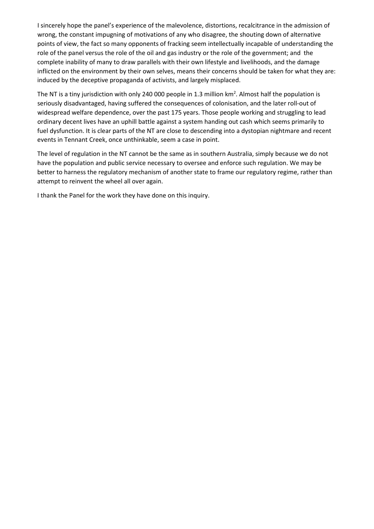I sincerely hope the panel's experience of the malevolence, distortions, recalcitrance in the admission of wrong, the constant impugning of motivations of any who disagree, the shouting down of alternative points of view, the fact so many opponents of fracking seem intellectually incapable of understanding the role of the panel versus the role of the oil and gas industry or the role of the government; and the complete inability of many to draw parallels with their own lifestyle and livelihoods, and the damage inflicted on the environment by their own selves, means their concerns should be taken for what they are: induced by the deceptive propaganda of activists, and largely misplaced.

The NT is a tiny jurisdiction with only 240 000 people in 1.3 million  $km^2$ . Almost half the population is seriously disadvantaged, having suffered the consequences of colonisation, and the later roll-out of widespread welfare dependence, over the past 175 years. Those people working and struggling to lead ordinary decent lives have an uphill battle against a system handing out cash which seems primarily to fuel dysfunction. It is clear parts of the NT are close to descending into a dystopian nightmare and recent events in Tennant Creek, once unthinkable, seem a case in point.

The level of regulation in the NT cannot be the same as in southern Australia, simply because we do not have the population and public service necessary to oversee and enforce such regulation. We may be better to harness the regulatory mechanism of another state to frame our regulatory regime, rather than attempt to reinvent the wheel all over again.

I thank the Panel for the work they have done on this inquiry.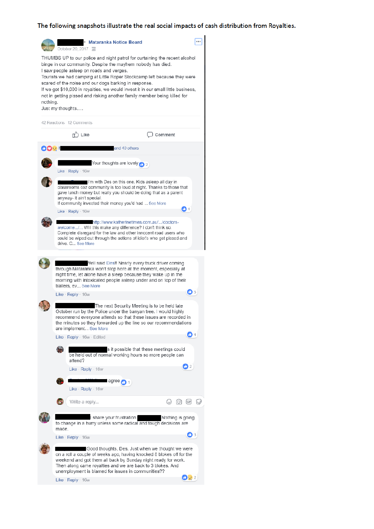#### The following snapshots illustrate the real social impacts of cash distribution from Royalties.